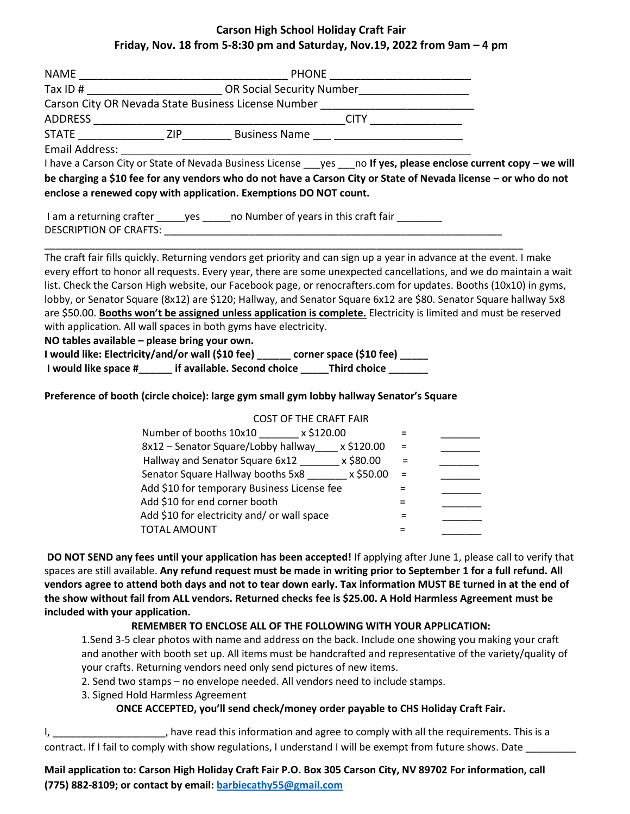#### **Carson High School Holiday Craft Fair Friday, Nov. 18 from 5-8:30 pm and Saturday, Nov.19, 2022 from 9am – 4 pm**

| NAME           | <b>PHONE</b>                     |                                                     |  |  |  |  |
|----------------|----------------------------------|-----------------------------------------------------|--|--|--|--|
| Tax ID $#$     | <b>OR Social Security Number</b> |                                                     |  |  |  |  |
|                |                                  | Carson City OR Nevada State Business License Number |  |  |  |  |
| ADDRESS        |                                  | <b>CITY</b>                                         |  |  |  |  |
| <b>STATE</b>   | 7IP                              | <b>Business Name</b>                                |  |  |  |  |
| Email Address: |                                  |                                                     |  |  |  |  |

I have a Carson City or State of Nevada Business License \_\_\_yes \_\_\_no **If yes, please enclose current copy – we will be charging a \$10 fee for any vendors who do not have a Carson City or State of Nevada license – or who do not enclose a renewed copy with application. Exemptions DO NOT count.**

| I am a returning crafter      | ves | no Number of years in this craft fair |
|-------------------------------|-----|---------------------------------------|
| <b>DESCRIPTION OF CRAFTS:</b> |     |                                       |

\_\_\_\_\_\_\_\_\_\_\_\_\_\_\_\_\_\_\_\_\_\_\_\_\_\_\_\_\_\_\_\_\_\_\_\_\_\_\_\_\_\_\_\_\_\_\_\_\_\_\_\_\_\_\_\_\_\_\_\_\_\_\_\_\_\_\_\_\_\_\_\_\_\_\_\_\_\_\_\_\_\_\_\_\_

The craft fair fills quickly. Returning vendors get priority and can sign up a year in advance at the event. I make every effort to honor all requests. Every year, there are some unexpected cancellations, and we do maintain a wait list. Check the Carson High website, our Facebook page, or renocrafters.com for updates. Booths (10x10) in gyms, lobby, or Senator Square (8x12) are \$120; Hallway, and Senator Square 6x12 are \$80. Senator Square hallway 5x8 are \$50.00. **Booths won't be assigned unless application is complete.** Electricity is limited and must be reserved with application. All wall spaces in both gyms have electricity.

#### **NO tables available – please bring your own.**

**I would like: Electricity/and/or wall (\$10 fee) \_\_\_\_\_\_ corner space (\$10 fee) \_\_\_\_\_ I would like space #\_\_\_\_\_\_ if available. Second choice \_\_\_\_\_Third choice \_\_\_\_\_\_\_** 

#### **Preference of booth (circle choice): large gym small gym lobby hallway Senator's Square**

#### COST OF THE CRAFT FAIR

| Number of booths 10x10<br>x \$120.00              |  |
|---------------------------------------------------|--|
| 8x12 - Senator Square/Lobby hallway<br>x \$120.00 |  |
| x \$80.00<br>Hallway and Senator Square 6x12      |  |
| x \$50.00<br>Senator Square Hallway booths 5x8    |  |
| Add \$10 for temporary Business License fee       |  |
| Add \$10 for end corner booth                     |  |
| Add \$10 for electricity and/ or wall space       |  |
| <b>TOTAL AMOUNT</b>                               |  |

**DO NOT SEND any fees until your application has been accepted!** If applying after June 1, please call to verify that spaces are still available. **Any refund request must be made in writing prior to September 1 for a full refund. All vendors agree to attend both days and not to tear down early. Tax information MUST BE turned in at the end of the show without fail from ALL vendors. Returned checks fee is \$25.00. A Hold Harmless Agreement must be included with your application.** 

#### **REMEMBER TO ENCLOSE ALL OF THE FOLLOWING WITH YOUR APPLICATION:**

1.Send 3-5 clear photos with name and address on the back. Include one showing you making your craft and another with booth set up. All items must be handcrafted and representative of the variety/quality of your crafts. Returning vendors need only send pictures of new items.

2. Send two stamps – no envelope needed. All vendors need to include stamps.

3. Signed Hold Harmless Agreement

#### **ONCE ACCEPTED, you'll send check/money order payable to CHS Holiday Craft Fair.**

I, \_\_\_\_\_\_\_\_\_\_\_\_\_\_\_\_\_\_\_\_\_\_, have read this information and agree to comply with all the requirements. This is a contract. If I fail to comply with show regulations, I understand I will be exempt from future shows. Date \_\_\_\_

**Mail application to: Carson High Holiday Craft Fair P.O. Box 305 Carson City, NV 89702 For information, call (775) 882-8109; or contact by email[: barbiecathy55@gmail.com](mailto:barbiecathy55@gmail.com)**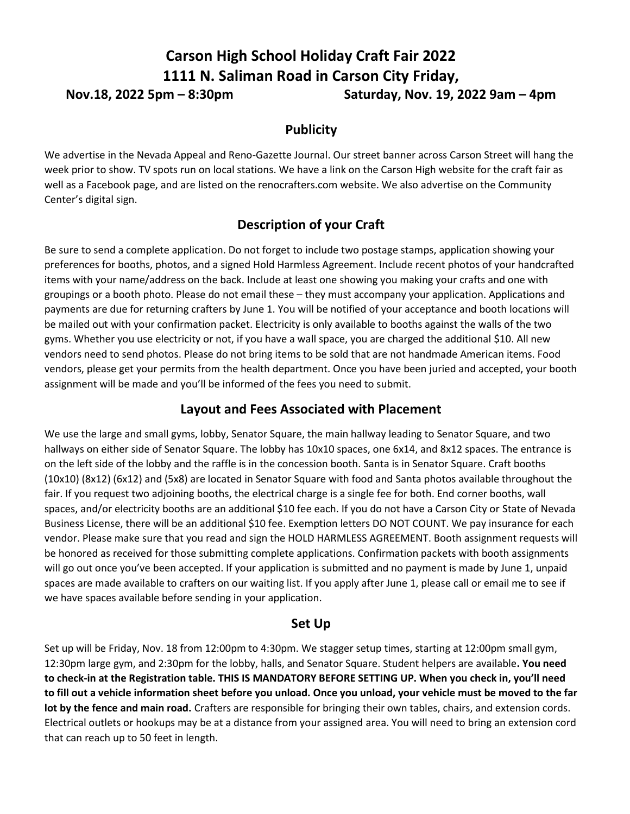# **Carson High School Holiday Craft Fair 2022 1111 N. Saliman Road in Carson City Friday, Nov.18, 2022 5pm – 8:30pm** Saturday, Nov. 19, 2022 9am – 4pm

#### **Publicity**

We advertise in the Nevada Appeal and Reno-Gazette Journal. Our street banner across Carson Street will hang the week prior to show. TV spots run on local stations. We have a link on the Carson High website for the craft fair as well as a Facebook page, and are listed on the renocrafters.com website. We also advertise on the Community Center's digital sign.

# **Description of your Craft**

Be sure to send a complete application. Do not forget to include two postage stamps, application showing your preferences for booths, photos, and a signed Hold Harmless Agreement. Include recent photos of your handcrafted items with your name/address on the back. Include at least one showing you making your crafts and one with groupings or a booth photo. Please do not email these – they must accompany your application. Applications and payments are due for returning crafters by June 1. You will be notified of your acceptance and booth locations will be mailed out with your confirmation packet. Electricity is only available to booths against the walls of the two gyms. Whether you use electricity or not, if you have a wall space, you are charged the additional \$10. All new vendors need to send photos. Please do not bring items to be sold that are not handmade American items. Food vendors, please get your permits from the health department. Once you have been juried and accepted, your booth assignment will be made and you'll be informed of the fees you need to submit.

#### **Layout and Fees Associated with Placement**

We use the large and small gyms, lobby, Senator Square, the main hallway leading to Senator Square, and two hallways on either side of Senator Square. The lobby has 10x10 spaces, one 6x14, and 8x12 spaces. The entrance is on the left side of the lobby and the raffle is in the concession booth. Santa is in Senator Square. Craft booths (10x10) (8x12) (6x12) and (5x8) are located in Senator Square with food and Santa photos available throughout the fair. If you request two adjoining booths, the electrical charge is a single fee for both. End corner booths, wall spaces, and/or electricity booths are an additional \$10 fee each. If you do not have a Carson City or State of Nevada Business License, there will be an additional \$10 fee. Exemption letters DO NOT COUNT. We pay insurance for each vendor. Please make sure that you read and sign the HOLD HARMLESS AGREEMENT. Booth assignment requests will be honored as received for those submitting complete applications. Confirmation packets with booth assignments will go out once you've been accepted. If your application is submitted and no payment is made by June 1, unpaid spaces are made available to crafters on our waiting list. If you apply after June 1, please call or email me to see if we have spaces available before sending in your application.

#### **Set Up**

Set up will be Friday, Nov. 18 from 12:00pm to 4:30pm. We stagger setup times, starting at 12:00pm small gym, 12:30pm large gym, and 2:30pm for the lobby, halls, and Senator Square. Student helpers are available**. You need to check-in at the Registration table. THIS IS MANDATORY BEFORE SETTING UP. When you check in, you'll need to fill out a vehicle information sheet before you unload. Once you unload, your vehicle must be moved to the far lot by the fence and main road.** Crafters are responsible for bringing their own tables, chairs, and extension cords. Electrical outlets or hookups may be at a distance from your assigned area. You will need to bring an extension cord that can reach up to 50 feet in length.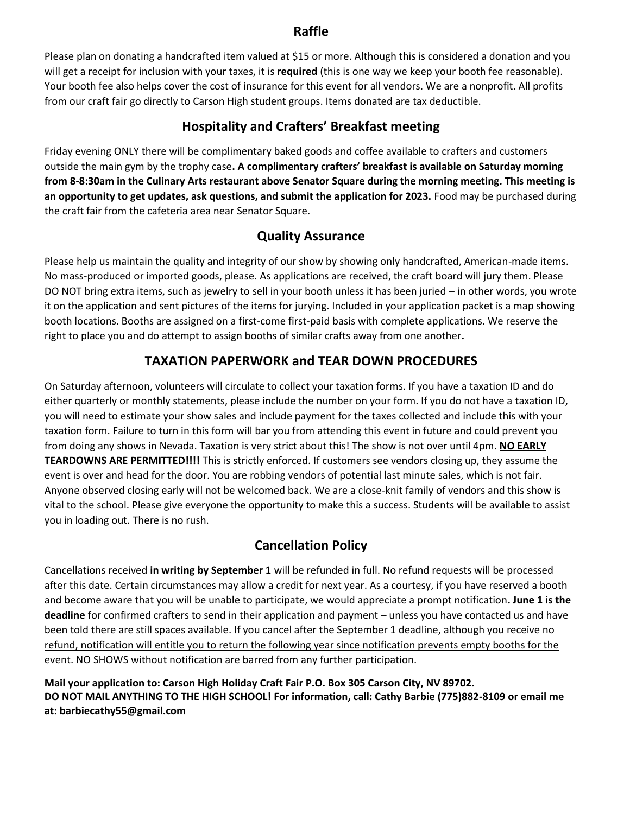#### **Raffle**

Please plan on donating a handcrafted item valued at \$15 or more. Although this is considered a donation and you will get a receipt for inclusion with your taxes, it is **required** (this is one way we keep your booth fee reasonable). Your booth fee also helps cover the cost of insurance for this event for all vendors. We are a nonprofit. All profits from our craft fair go directly to Carson High student groups. Items donated are tax deductible.

# **Hospitality and Crafters' Breakfast meeting**

Friday evening ONLY there will be complimentary baked goods and coffee available to crafters and customers outside the main gym by the trophy case**. A complimentary crafters' breakfast is available on Saturday morning from 8-8:30am in the Culinary Arts restaurant above Senator Square during the morning meeting. This meeting is an opportunity to get updates, ask questions, and submit the application for 2023.** Food may be purchased during the craft fair from the cafeteria area near Senator Square.

# **Quality Assurance**

Please help us maintain the quality and integrity of our show by showing only handcrafted, American-made items. No mass-produced or imported goods, please. As applications are received, the craft board will jury them. Please DO NOT bring extra items, such as jewelry to sell in your booth unless it has been juried – in other words, you wrote it on the application and sent pictures of the items for jurying. Included in your application packet is a map showing booth locations. Booths are assigned on a first-come first-paid basis with complete applications. We reserve the right to place you and do attempt to assign booths of similar crafts away from one another**.** 

# **TAXATION PAPERWORK and TEAR DOWN PROCEDURES**

On Saturday afternoon, volunteers will circulate to collect your taxation forms. If you have a taxation ID and do either quarterly or monthly statements, please include the number on your form. If you do not have a taxation ID, you will need to estimate your show sales and include payment for the taxes collected and include this with your taxation form. Failure to turn in this form will bar you from attending this event in future and could prevent you from doing any shows in Nevada. Taxation is very strict about this! The show is not over until 4pm. **NO EARLY TEARDOWNS ARE PERMITTED!!!!** This is strictly enforced. If customers see vendors closing up, they assume the event is over and head for the door. You are robbing vendors of potential last minute sales, which is not fair. Anyone observed closing early will not be welcomed back. We are a close-knit family of vendors and this show is vital to the school. Please give everyone the opportunity to make this a success. Students will be available to assist you in loading out. There is no rush.

# **Cancellation Policy**

Cancellations received **in writing by September 1** will be refunded in full. No refund requests will be processed after this date. Certain circumstances may allow a credit for next year. As a courtesy, if you have reserved a booth and become aware that you will be unable to participate, we would appreciate a prompt notification**. June 1 is the deadline** for confirmed crafters to send in their application and payment – unless you have contacted us and have been told there are still spaces available. If you cancel after the September 1 deadline, although you receive no refund, notification will entitle you to return the following year since notification prevents empty booths for the event. NO SHOWS without notification are barred from any further participation.

**Mail your application to: Carson High Holiday Craft Fair P.O. Box 305 Carson City, NV 89702. DO NOT MAIL ANYTHING TO THE HIGH SCHOOL! For information, call: Cathy Barbie (775)882-8109 or email me at: barbiecathy55@gmail.com**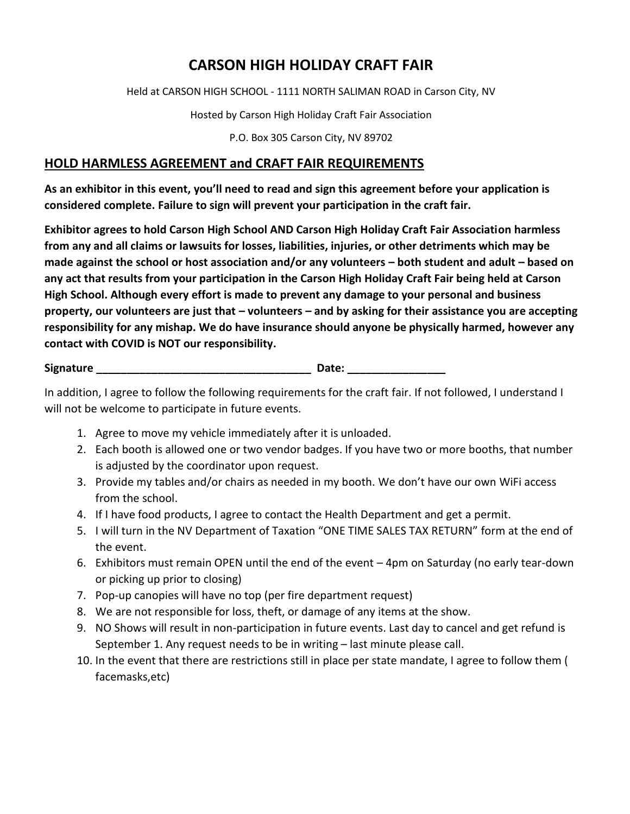# **CARSON HIGH HOLIDAY CRAFT FAIR**

Held at CARSON HIGH SCHOOL - 1111 NORTH SALIMAN ROAD in Carson City, NV

Hosted by Carson High Holiday Craft Fair Association

P.O. Box 305 Carson City, NV 89702

### **HOLD HARMLESS AGREEMENT and CRAFT FAIR REQUIREMENTS**

**As an exhibitor in this event, you'll need to read and sign this agreement before your application is considered complete. Failure to sign will prevent your participation in the craft fair.** 

**Exhibitor agrees to hold Carson High School AND Carson High Holiday Craft Fair Association harmless from any and all claims or lawsuits for losses, liabilities, injuries, or other detriments which may be made against the school or host association and/or any volunteers – both student and adult – based on any act that results from your participation in the Carson High Holiday Craft Fair being held at Carson High School. Although every effort is made to prevent any damage to your personal and business property, our volunteers are just that – volunteers – and by asking for their assistance you are accepting responsibility for any mishap. We do have insurance should anyone be physically harmed, however any contact with COVID is NOT our responsibility.** 

**Signature \_\_\_\_\_\_\_\_\_\_\_\_\_\_\_\_\_\_\_\_\_\_\_\_\_\_\_\_\_\_\_\_\_\_\_ Date: \_\_\_\_\_\_\_\_\_\_\_\_\_\_\_\_**

In addition, I agree to follow the following requirements for the craft fair. If not followed, I understand I will not be welcome to participate in future events.

- 1. Agree to move my vehicle immediately after it is unloaded.
- 2. Each booth is allowed one or two vendor badges. If you have two or more booths, that number is adjusted by the coordinator upon request.
- 3. Provide my tables and/or chairs as needed in my booth. We don't have our own WiFi access from the school.
- 4. If I have food products, I agree to contact the Health Department and get a permit.
- 5. I will turn in the NV Department of Taxation "ONE TIME SALES TAX RETURN" form at the end of the event.
- 6. Exhibitors must remain OPEN until the end of the event 4pm on Saturday (no early tear-down or picking up prior to closing)
- 7. Pop-up canopies will have no top (per fire department request)
- 8. We are not responsible for loss, theft, or damage of any items at the show.
- 9. NO Shows will result in non-participation in future events. Last day to cancel and get refund is September 1. Any request needs to be in writing – last minute please call.
- 10. In the event that there are restrictions still in place per state mandate, I agree to follow them ( facemasks,etc)